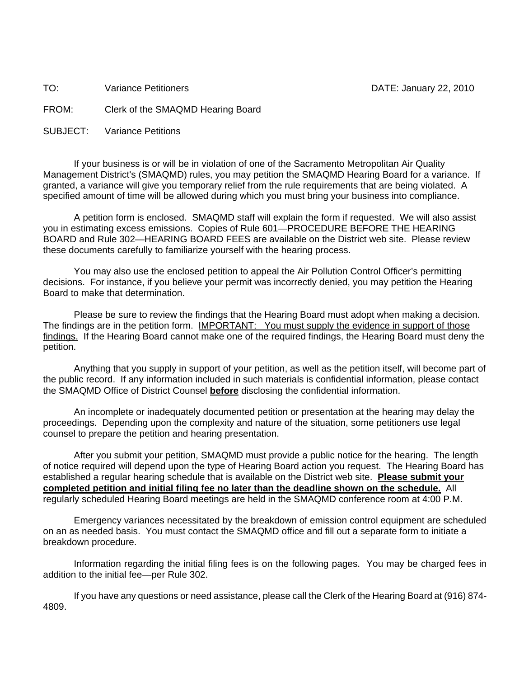TO: Variance Petitioners DATE: January 22, 2010

FROM: Clerk of the SMAQMD Hearing Board

SUBJECT: Variance Petitions

If your business is or will be in violation of one of the Sacramento Metropolitan Air Quality Management District's (SMAQMD) rules, you may petition the SMAQMD Hearing Board for a variance. If granted, a variance will give you temporary relief from the rule requirements that are being violated. A specified amount of time will be allowed during which you must bring your business into compliance.

A petition form is enclosed. SMAQMD staff will explain the form if requested. We will also assist you in estimating excess emissions. Copies of Rule 601—PROCEDURE BEFORE THE HEARING BOARD and Rule 302—HEARING BOARD FEES are available on the District web site. Please review these documents carefully to familiarize yourself with the hearing process.

You may also use the enclosed petition to appeal the Air Pollution Control Officer's permitting decisions. For instance, if you believe your permit was incorrectly denied, you may petition the Hearing Board to make that determination.

Please be sure to review the findings that the Hearing Board must adopt when making a decision. The findings are in the petition form. IMPORTANT: You must supply the evidence in support of those findings. If the Hearing Board cannot make one of the required findings, the Hearing Board must deny the petition.

Anything that you supply in support of your petition, as well as the petition itself, will become part of the public record. If any information included in such materials is confidential information, please contact the SMAQMD Office of District Counsel **before** disclosing the confidential information.

An incomplete or inadequately documented petition or presentation at the hearing may delay the proceedings. Depending upon the complexity and nature of the situation, some petitioners use legal counsel to prepare the petition and hearing presentation.

After you submit your petition, SMAQMD must provide a public notice for the hearing. The length of notice required will depend upon the type of Hearing Board action you request. The Hearing Board has established a regular hearing schedule that is available on the District web site. **Please submit your completed petition and initial filing fee no later than the deadline shown on the schedule.** All regularly scheduled Hearing Board meetings are held in the SMAQMD conference room at 4:00 P.M.

Emergency variances necessitated by the breakdown of emission control equipment are scheduled on an as needed basis. You must contact the SMAQMD office and fill out a separate form to initiate a breakdown procedure.

Information regarding the initial filing fees is on the following pages. You may be charged fees in addition to the initial fee—per Rule 302.

If you have any questions or need assistance, please call the Clerk of the Hearing Board at (916) 874- 4809.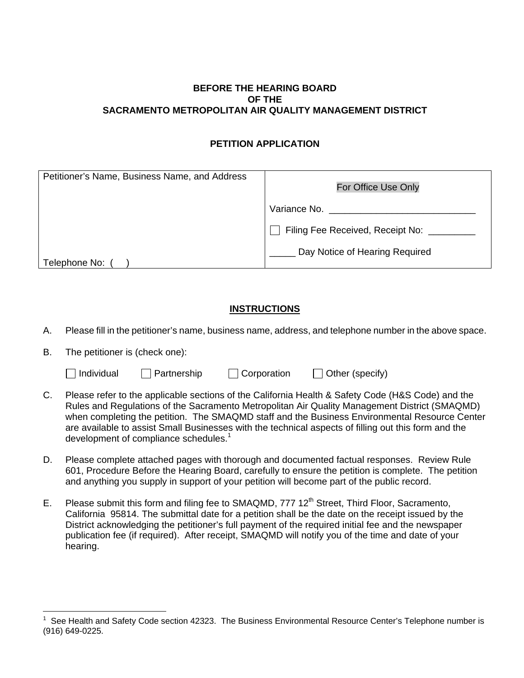## **BEFORE THE HEARING BOARD OF THE SACRAMENTO METROPOLITAN AIR QUALITY MANAGEMENT DISTRICT**

## **PETITION APPLICATION**

| Petitioner's Name, Business Name, and Address | For Office Use Only              |
|-----------------------------------------------|----------------------------------|
|                                               |                                  |
|                                               | Filing Fee Received, Receipt No: |
| Telephone No: (                               | Day Notice of Hearing Required   |

## **INSTRUCTIONS**

- A. Please fill in the petitioner's name, business name, address, and telephone number in the above space.
- B. The petitioner is (check one):

| Individual | Partnership | $\Box$ Corporation | $\Box$ Other (specify) |
|------------|-------------|--------------------|------------------------|
|------------|-------------|--------------------|------------------------|

- C. Please refer to the applicable sections of the California Health & Safety Code (H&S Code) and the Rules and Regulations of the Sacramento Metropolitan Air Quality Management District (SMAQMD) when completing the petition. The SMAQMD staff and the Business Environmental Resource Center are available to assist Small Businesses with the technical aspects of filling out this form and the development of compliance schedules.<sup>1</sup>
- D. Please complete attached pages with thorough and documented factual responses. Review Rule 601, Procedure Before the Hearing Board, carefully to ensure the petition is complete. The petition and anything you supply in support of your petition will become part of the public record.
- E. Please submit this form and filing fee to SMAQMD, 777 12<sup>th</sup> Street, Third Floor, Sacramento, California 95814. The submittal date for a petition shall be the date on the receipt issued by the District acknowledging the petitioner's full payment of the required initial fee and the newspaper publication fee (if required). After receipt, SMAQMD will notify you of the time and date of your hearing.

i 1 See Health and Safety Code section 42323. The Business Environmental Resource Center's Telephone number is (916) 649-0225.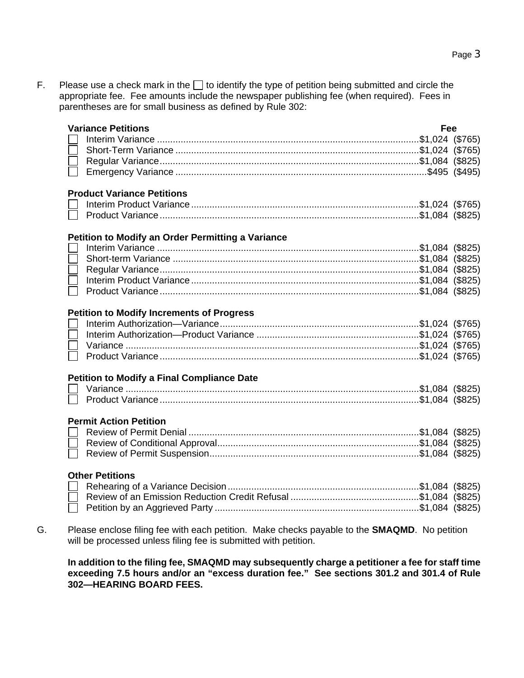F. Please use a check mark in the  $\Box$  to identify the type of petition being submitted and circle the appropriate fee. Fee amounts include the newspaper publishing fee (when required). Fees in parentheses are for small business as defined by Rule 302:

|    | <b>Variance Petitions</b>                                                                                                                                               | Fee |  |
|----|-------------------------------------------------------------------------------------------------------------------------------------------------------------------------|-----|--|
|    | <b>Product Variance Petitions</b>                                                                                                                                       |     |  |
|    | Petition to Modify an Order Permitting a Variance                                                                                                                       |     |  |
|    | <b>Petition to Modify Increments of Progress</b><br><b>Petition to Modify a Final Compliance Date</b>                                                                   |     |  |
|    |                                                                                                                                                                         |     |  |
|    | <b>Permit Action Petition</b>                                                                                                                                           |     |  |
|    | <b>Other Petitions</b>                                                                                                                                                  |     |  |
| G. | Please enclose filing fee with each petition. Make checks payable to the <b>SMAQMD</b> . No petition<br>will be processed unless filing fee is submitted with petition. |     |  |

**In addition to the filing fee, SMAQMD may subsequently charge a petitioner a fee for staff time exceeding 7.5 hours and/or an "excess duration fee." See sections 301.2 and 301.4 of Rule 302—HEARING BOARD FEES.**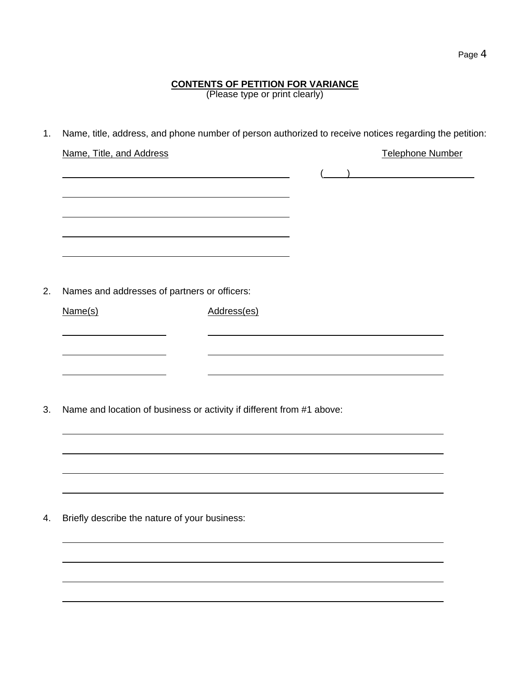## **CONTENTS OF PETITION FOR VARIANCE**

(Please type or print clearly)

1. Name, title, address, and phone number of person authorized to receive notices regarding the petition: Name, Title, and Address Telephone Number  $\qquad \qquad (\qquad )$  $\overline{a}$  $\overline{a}$ 2. Names and addresses of partners or officers: Name(s) Mandels Address(es)  $\overline{a}$  $\overline{a}$  $\overline{a}$ 3. Name and location of business or activity if different from #1 above:  $\overline{a}$ 4. Briefly describe the nature of your business:  $\overline{a}$  $\overline{a}$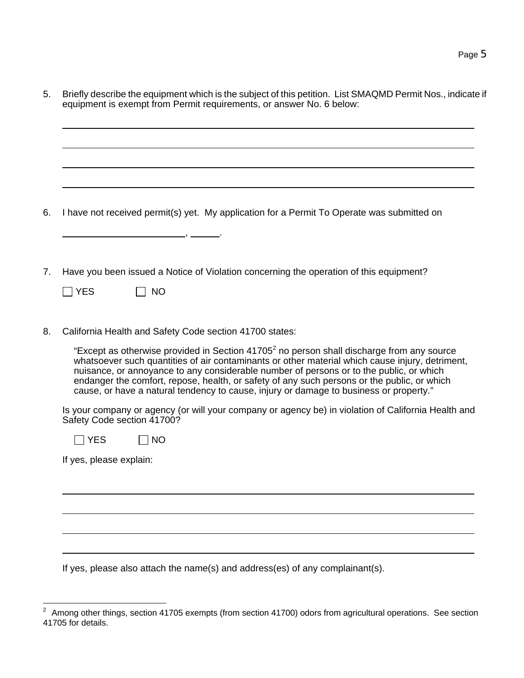5. Briefly describe the equipment which is the subject of this petition. List SMAQMD Permit Nos., indicate if equipment is exempt from Permit requirements, or answer No. 6 below:

6. I have not received permit(s) yet. My application for a Permit To Operate was submitted on

7. Have you been issued a Notice of Violation concerning the operation of this equipment?

 $\Box$  YES  $\Box$  NO

, .

 $\overline{a}$ 

 $\overline{a}$ 

8. California Health and Safety Code section 41700 states:

"Except as otherwise provided in Section 41705<sup>2</sup> no person shall discharge from any source whatsoever such quantities of air contaminants or other material which cause injury, detriment, nuisance, or annoyance to any considerable number of persons or to the public, or which endanger the comfort, repose, health, or safety of any such persons or the public, or which cause, or have a natural tendency to cause, injury or damage to business or property."

Is your company or agency (or will your company or agency be) in violation of California Health and Safety Code section 41700?

 $\Box$  YES  $\Box$  NO

If yes, please explain:

 $\overline{a}$ 

 $\overline{a}$ 

If yes, please also attach the name(s) and address(es) of any complainant(s).

  $2\text{ A}$  Among other things, section 41705 exempts (from section 41700) odors from agricultural operations. See section 41705 for details.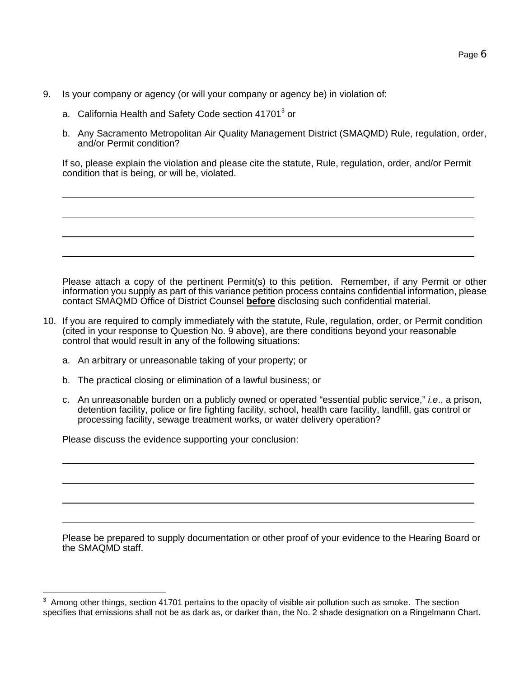- 9. Is your company or agency (or will your company or agency be) in violation of:
	- a. California Health and Safety Code section 41701<sup>3</sup> or

 $\overline{a}$ 

 $\overline{a}$ 

 $\overline{a}$ 

 $\overline{a}$ 

b. Any Sacramento Metropolitan Air Quality Management District (SMAQMD) Rule, regulation, order, and/or Permit condition?

If so, please explain the violation and please cite the statute, Rule, regulation, order, and/or Permit condition that is being, or will be, violated.

| Please attach a copy of the pertinent Permit(s) to this petition. Remember, if any Permit or other         |  |
|------------------------------------------------------------------------------------------------------------|--|
| information you supply as part of this variance petition process contains confidential information, please |  |
| contact SMAQMD Office of District Counsel <b>before</b> disclosing such confidential material.             |  |

- 10. If you are required to comply immediately with the statute, Rule, regulation, order, or Permit condition (cited in your response to Question No. 9 above), are there conditions beyond your reasonable control that would result in any of the following situations:
	- a. An arbitrary or unreasonable taking of your property; or
	- b. The practical closing or elimination of a lawful business; or
	- c. An unreasonable burden on a publicly owned or operated "essential public service," *i.e*., a prison, detention facility, police or fire fighting facility, school, health care facility, landfill, gas control or processing facility, sewage treatment works, or water delivery operation?

Please discuss the evidence supporting your conclusion:

Please be prepared to supply documentation or other proof of your evidence to the Hearing Board or the SMAQMD staff.

 $\frac{1}{3}$  Among other things, section 41701 pertains to the opacity of visible air pollution such as smoke. The section specifies that emissions shall not be as dark as, or darker than, the No. 2 shade designation on a Ringelmann Chart.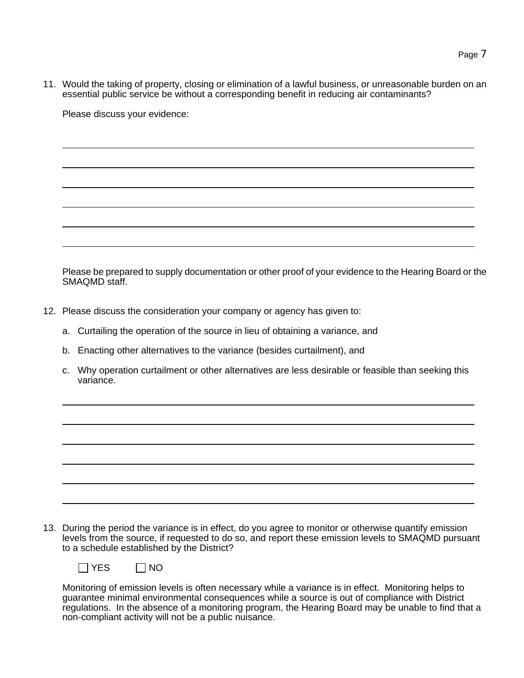11. Would the taking of property, closing or elimination of a lawful business, or unreasonable burden on an essential public service be without a corresponding benefit in reducing air contaminants?

Please discuss your evidence:

 $\overline{a}$ 

 $\overline{a}$ 

 $\overline{a}$ 

 $\overline{a}$ 

Please be prepared to supply documentation or other proof of your evidence to the Hearing Board or the SMAQMD staff.

- 12. Please discuss the consideration your company or agency has given to:
	- a. Curtailing the operation of the source in lieu of obtaining a variance, and
	- b. Enacting other alternatives to the variance (besides curtailment), and
	- c. Why operation curtailment or other alternatives are less desirable or feasible than seeking this variance.

13. During the period the variance is in effect, do you agree to monitor or otherwise quantify emission levels from the source, if requested to do so, and report these emission levels to SMAQMD pursuant to a schedule established by the District?

| $V = C$ | NΟ |
|---------|----|
|---------|----|

Monitoring of emission levels is often necessary while a variance is in effect. Monitoring helps to guarantee minimal environmental consequences while a source is out of compliance with District regulations. In the absence of a monitoring program, the Hearing Board may be unable to find that a non-compliant activity will not be a public nuisance.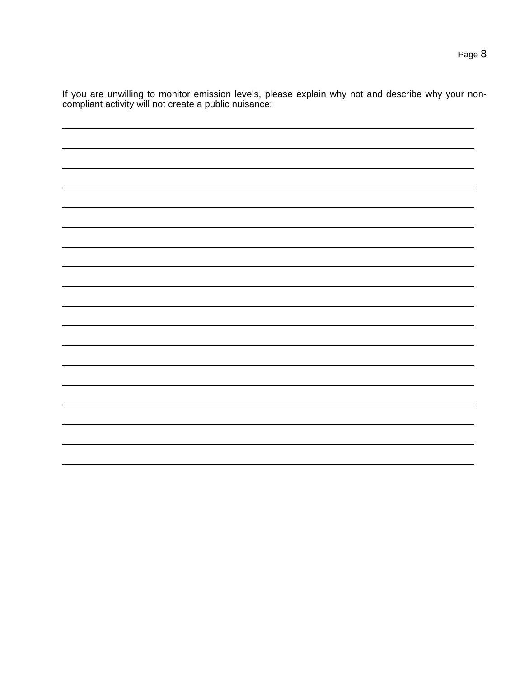If you are unwilling to monitor emission levels, please explain why not and describe why your noncompliant activity will not create a public nuisance:

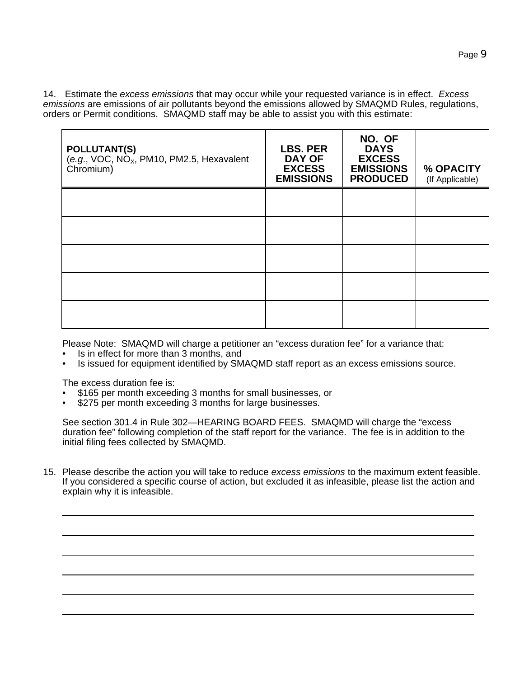14. Estimate the *excess emissions* that may occur while your requested variance is in effect. *Excess emissions* are emissions of air pollutants beyond the emissions allowed by SMAQMD Rules, regulations, orders or Permit conditions. SMAQMD staff may be able to assist you with this estimate:

| <b>POLLUTANT(S)</b><br>(e.g., VOC, NO $_{\text{x}}$ , PM10, PM2.5, Hexavalent<br>Chromium) | <b>LBS. PER</b><br><b>DAY OF</b><br><b>EXCESS</b><br><b>EMISSIONS</b> | NO. OF<br><b>DAYS</b><br><b>EXCESS</b><br><b>EMISSIONS</b><br><b>PRODUCED</b> | % OPACITY<br>(If Applicable) |
|--------------------------------------------------------------------------------------------|-----------------------------------------------------------------------|-------------------------------------------------------------------------------|------------------------------|
|                                                                                            |                                                                       |                                                                               |                              |
|                                                                                            |                                                                       |                                                                               |                              |
|                                                                                            |                                                                       |                                                                               |                              |
|                                                                                            |                                                                       |                                                                               |                              |
|                                                                                            |                                                                       |                                                                               |                              |

Please Note: SMAQMD will charge a petitioner an "excess duration fee" for a variance that:

- Is in effect for more than 3 months, and
- Is issued for equipment identified by SMAQMD staff report as an excess emissions source.

The excess duration fee is:

 $\overline{a}$ 

 $\overline{a}$ 

 $\overline{a}$ 

 $\overline{a}$ 

- \$165 per month exceeding 3 months for small businesses, or
- \$275 per month exceeding 3 months for large businesses.

See section 301.4 in Rule 302—HEARING BOARD FEES. SMAQMD will charge the "excess duration fee" following completion of the staff report for the variance. The fee is in addition to the initial filing fees collected by SMAQMD.

15. Please describe the action you will take to reduce *excess emissions* to the maximum extent feasible. If you considered a specific course of action, but excluded it as infeasible, please list the action and explain why it is infeasible.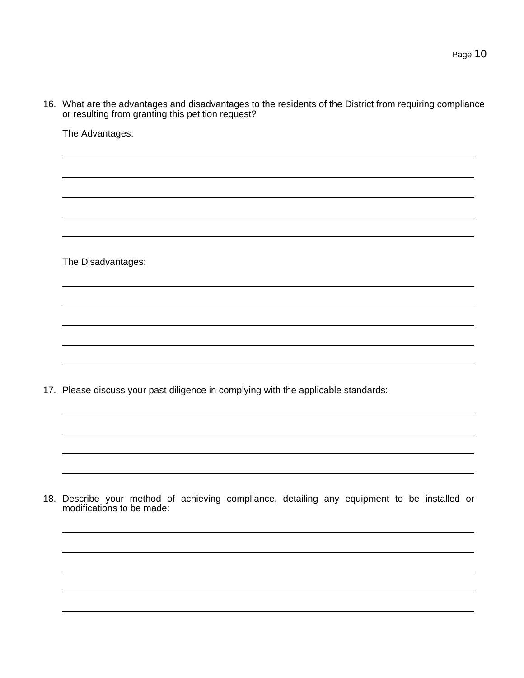16. What are the advantages and disadvantages to the residents of the District from requiring compliance or resulting from granting this petition request?

The Advantages:  $\overline{a}$ 

 $\overline{a}$ 

 $\overline{a}$ 

 $\overline{a}$ 

 $\overline{a}$ 

 $\overline{a}$ 

 $\overline{a}$ 

 $\overline{a}$ 

 $\overline{a}$ 

 $\overline{a}$ 

 $\overline{a}$ 

The Disadvantages:

17. Please discuss your past diligence in complying with the applicable standards:

18. Describe your method of achieving compliance, detailing any equipment to be installed or modifications to be made: